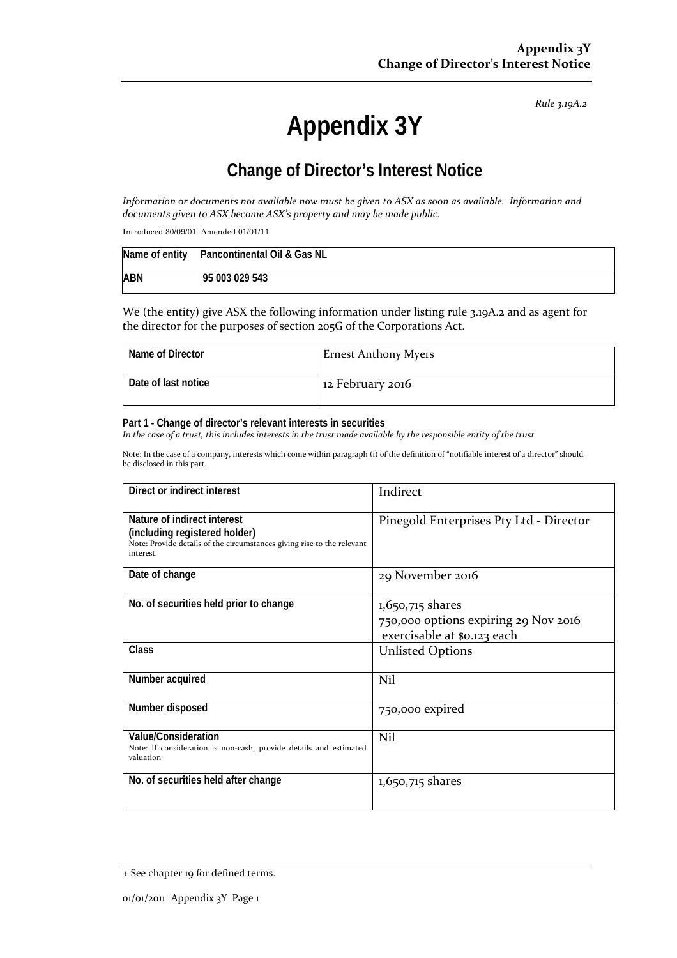*Rule 3.19A.2*

# **Appendix 3Y**

# **Change of Director's Interest Notice**

Information or documents not available now must be given to ASX as soon as available. Information and *documents given to ASX become ASX's property and may be made public.*

Introduced 30/09/01 Amended 01/01/11

|            | Name of entity Pancontinental Oil & Gas NL |
|------------|--------------------------------------------|
| <b>ABN</b> | 95 003 029 543                             |

We (the entity) give ASX the following information under listing rule 3.19A.2 and as agent for the director for the purposes of section 205G of the Corporations Act.

| Name of Director    | <b>Ernest Anthony Myers</b> |
|---------------------|-----------------------------|
| Date of last notice | 12 February 2016            |

#### **Part 1 - Change of director's relevant interests in securities**

In the case of a trust, this includes interests in the trust made available by the responsible entity of the trust

Note: In the case of a company, interests which come within paragraph (i) of the definition of "notifiable interest of a director" should be disclosed in this part.

| Direct or indirect interest                                                                                                                         | Indirect                                                                                |
|-----------------------------------------------------------------------------------------------------------------------------------------------------|-----------------------------------------------------------------------------------------|
| Nature of indirect interest<br>(including registered holder)<br>Note: Provide details of the circumstances giving rise to the relevant<br>interest. | Pinegold Enterprises Pty Ltd - Director                                                 |
| Date of change                                                                                                                                      | 29 November 2016                                                                        |
| No. of securities held prior to change                                                                                                              | 1,650,715 shares<br>750,000 options expiring 29 Nov 2016<br>exercisable at \$0.123 each |
| Class                                                                                                                                               | <b>Unlisted Options</b>                                                                 |
| Number acquired                                                                                                                                     | Nil                                                                                     |
| Number disposed                                                                                                                                     | 750,000 expired                                                                         |
| Value/Consideration<br>Note: If consideration is non-cash, provide details and estimated<br>valuation                                               | Nil                                                                                     |
| No. of securities held after change                                                                                                                 | $1,650,715$ shares                                                                      |

<sup>+</sup> See chapter 19 for defined terms.